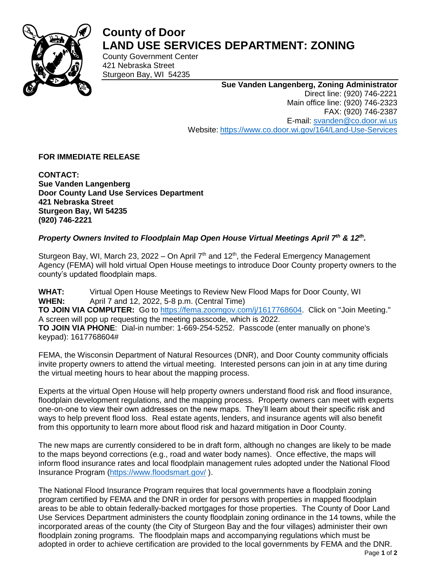

## **County of Door LAND USE SERVICES DEPARTMENT: ZONING**

County Government Center 421 Nebraska Street Sturgeon Bay, WI 54235

## **Sue Vanden Langenberg, Zoning Administrator**

Direct line: (920) 746-2221 Main office line: (920) 746-2323 FAX: (920) 746-2387 E-mail: [svanden@co.door.wi.us](mailto:svanden@co.door.wi.us) Website: <https://www.co.door.wi.gov/164/Land-Use-Services>

**FOR IMMEDIATE RELEASE**

**CONTACT: Sue Vanden Langenberg Door County Land Use Services Department 421 Nebraska Street Sturgeon Bay, WI 54235 (920) 746-2221**

## *Property Owners Invited to Floodplain Map Open House Virtual Meetings April 7th & 12th .*

Sturgeon Bay, WI, March 23, 2022 – On April  $7<sup>th</sup>$  and 12<sup>th</sup>, the Federal Emergency Management Agency (FEMA) will hold virtual Open House meetings to introduce Door County property owners to the county's updated floodplain maps.

**WHAT:** Virtual Open House Meetings to Review New Flood Maps for Door County, WI **WHEN:** April 7 and 12, 2022, 5-8 p.m. (Central Time) **TO JOIN VIA COMPUTER:** Go to [https://fema.zoomgov.com/j/1617768604.](https://fema.zoomgov.com/j/1617768604) Click on "Join Meeting." A screen will pop up requesting the meeting passcode, which is 2022. **TO JOIN VIA PHONE**: Dial-in number: 1-669-254-5252. Passcode (enter manually on phone's keypad): 1617768604#

FEMA, the Wisconsin Department of Natural Resources (DNR), and Door County community officials invite property owners to attend the virtual meeting. Interested persons can join in at any time during the virtual meeting hours to hear about the mapping process.

Experts at the virtual Open House will help property owners understand flood risk and flood insurance, floodplain development regulations, and the mapping process. Property owners can meet with experts one-on-one to view their own addresses on the new maps. They'll learn about their specific risk and ways to help prevent flood loss. Real estate agents, lenders, and insurance agents will also benefit from this opportunity to learn more about flood risk and hazard mitigation in Door County.

The new maps are currently considered to be in draft form, although no changes are likely to be made to the maps beyond corrections (e.g., road and water body names). Once effective, the maps will inform flood insurance rates and local floodplain management rules adopted under the National Flood Insurance Program [\(https://www.floodsmart.gov/](https://www.floodsmart.gov/) ).

The National Flood Insurance Program requires that local governments have a floodplain zoning program certified by FEMA and the DNR in order for persons with properties in mapped floodplain areas to be able to obtain federally-backed mortgages for those properties. The County of Door Land Use Services Department administers the county floodplain zoning ordinance in the 14 towns, while the incorporated areas of the county (the City of Sturgeon Bay and the four villages) administer their own floodplain zoning programs. The floodplain maps and accompanying regulations which must be adopted in order to achieve certification are provided to the local governments by FEMA and the DNR.